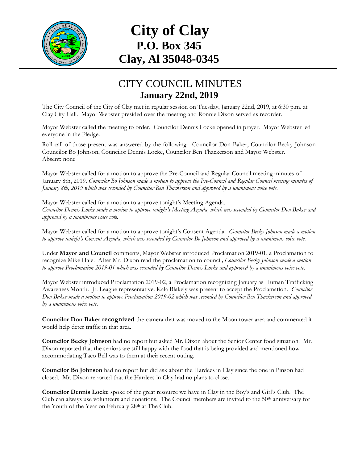

## **City of Clay P.O. Box 345 Clay, Al 35048-0345**

## CITY COUNCIL MINUTES **January 22nd, 2019**

The City Council of the City of Clay met in regular session on Tuesday, January 22nd, 2019, at 6:30 p.m. at Clay City Hall. Mayor Webster presided over the meeting and Ronnie Dixon served as recorder.

Mayor Webster called the meeting to order. Councilor Dennis Locke opened in prayer. Mayor Webster led everyone in the Pledge.

Roll call of those present was answered by the following: Councilor Don Baker, Councilor Becky Johnson Councilor Bo Johnson, Councilor Dennis Locke, Councilor Ben Thackerson and Mayor Webster. Absent: none

Mayor Webster called for a motion to approve the Pre-Council and Regular Council meeting minutes of January 8th, 2019. *Councilor Bo Johnson made a motion to approve the Pre-Council and Regular Council meeting minutes of January 8th, 2019 which was seconded by Councilor Ben Thackerson and approved by a unanimous voice vote.*

Mayor Webster called for a motion to approve tonight's Meeting Agenda. *Councilor Dennis Locke made a motion to approve tonight's Meeting Agenda, which was seconded by Councilor Don Baker and approved by a unanimous voice vote.*

Mayor Webster called for a motion to approve tonight's Consent Agenda. *Councilor Becky Johnson made a motion to approve tonight's Consent Agenda, which was seconded by Councilor Bo Johnson and approved by a unanimous voice vote.*

Under **Mayor and Council** comments, Mayor Webster introduced Proclamation 2019-01, a Proclamation to recognize Mike Hale. After Mr. Dixon read the proclamation to council*, Councilor Becky Johnson made a motion to approve Proclamation 2019-01 which was seconded by Councilor Dennis Locke and approved by a unanimous voice vote.*

Mayor Webster introduced Proclamation 2019-02, a Proclamation recognizing January as Human Trafficking Awareness Month. Jr. League representative*,* Kala Blakely was present to accept the Proclamation*. Councilor Don Baker made a motion to approve Proclamation 2019-02 which was seconded by Councilor Ben Thackerson and approved by a unanimous voice vote.*

**Councilor Don Baker recognized** the camera that was moved to the Moon tower area and commented it would help deter traffic in that area.

**Councilor Becky Johnson** had no report but asked Mr. Dixon about the Senior Center food situation. Mr. Dixon reported that the seniors are still happy with the food that is being provided and mentioned how accommodating Taco Bell was to them at their recent outing.

**Councilor Bo Johnson** had no report but did ask about the Hardees in Clay since the one in Pinson had closed. Mr. Dixon reported that the Hardees in Clay had no plans to close.

**Councilor Dennis Locke** spoke of the great resource we have in Clay in the Boy's and Girl's Club. The Club can always use volunteers and donations. The Council members are invited to the 50<sup>th</sup> anniversary for the Youth of the Year on February 28<sup>th</sup> at The Club.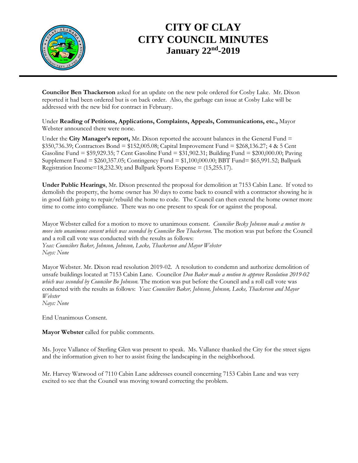

## **CITY OF CLAY CITY COUNCIL MINUTES January 22nd -2019**

**Councilor Ben Thackerson** asked for an update on the new pole ordered for Cosby Lake. Mr. Dixon reported it had been ordered but is on back order. Also, the garbage can issue at Cosby Lake will be addressed with the new bid for contract in February.

Under **Reading of Petitions, Applications, Complaints, Appeals, Communications, etc.,** Mayor Webster announced there were none.

Under the **City Manager's report,** Mr. Dixon reported the account balances in the General Fund = \$350,736.39; Contractors Bond = \$152,005.08; Capital Improvement Fund = \$268,136.27; 4 & 5 Cent Gasoline Fund = \$59,929.35; 7 Cent Gasoline Fund = \$31,902.31; Building Fund = \$200,000.00; Paving Supplement Fund = \$260,357.05; Contingency Fund = \$1,100,000.00; BBT Fund= \$65,991.52; Ballpark Registration Income=18,232.30; and Ballpark Sports Expense = (15,255.17).

**Under Public Hearings**, Mr. Dixon presented the proposal for demolition at 7153 Cabin Lane. If voted to demolish the property, the home owner has 30 days to come back to council with a contractor showing he is in good faith going to repair/rebuild the home to code. The Council can then extend the home owner more time to come into compliance. There was no one present to speak for or against the proposal.

Mayor Webster called for a motion to move to unanimous consent. *Councilor Becky Johnson made a motion to move into unanimous consent which was seconded by Councilor Ben Thackerson.* The motion was put before the Council and a roll call vote was conducted with the results as follows: *Yeas: Councilors Baker, Johnson, Johnson, Locke, Thackerson and Mayor Webster Nays: None*

Mayor Webster. Mr. Dixon read resolution 2019-02. A resolution to condemn and authorize demolition of unsafe buildings located at 7153 Cabin Lane. Councilor *Don Baker made a motion to approve Resolution 2019-02 which was seconded by Councilor Bo Johnson.* The motion was put before the Council and a roll call vote was conducted with the results as follows: *Yeas: Councilors Baker, Johnson, Johnson, Locke, Thackerson and Mayor Webster*

*Nays: None*

End Unanimous Consent.

**Mayor Webster** called for public comments.

Ms. Joyce Vallance of Sterling Glen was present to speak. Ms. Vallance thanked the City for the street signs and the information given to her to assist fixing the landscaping in the neighborhood.

Mr. Harvey Watwood of 7110 Cabin Lane addresses council concerning 7153 Cabin Lane and was very excited to see that the Council was moving toward correcting the problem.